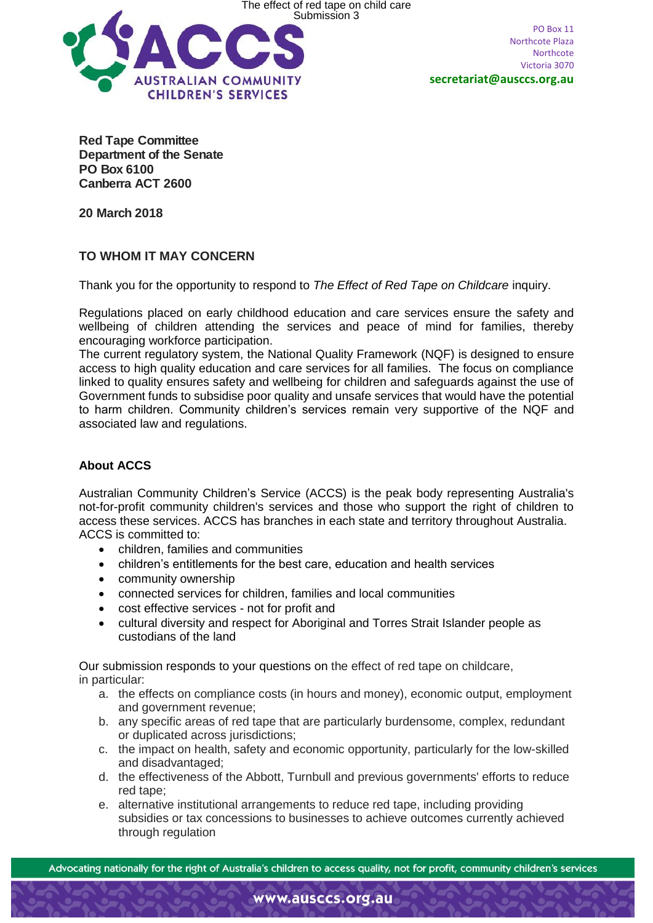

PO Box 11 Northcote Plaza Northcote Victoria 3070

**secretariat@ausccs.org.au**

**Red Tape Committee Department of the Senate PO Box 6100 Canberra ACT 2600**

**20 March 2018**

## **TO WHOM IT MAY CONCERN**

Thank you for the opportunity to respond to *The Effect of Red Tape on Childcare* inquiry.

Regulations placed on early childhood education and care services ensure the safety and wellbeing of children attending the services and peace of mind for families, thereby encouraging workforce participation.

The current regulatory system, the National Quality Framework (NQF) is designed to ensure access to high quality education and care services for all families. The focus on compliance linked to quality ensures safety and wellbeing for children and safeguards against the use of Government funds to subsidise poor quality and unsafe services that would have the potential to harm children. Community children's services remain very supportive of the NQF and associated law and regulations.

# **About ACCS**

Australian Community Children's Service (ACCS) is the peak body representing Australia's not-for-profit community children's services and those who support the right of children to access these services. ACCS has branches in each state and territory throughout Australia. ACCS is committed to:

- children, families and communities
- children's entitlements for the best care, education and health services
- community ownership
- connected services for children, families and local communities
- cost effective services not for profit and
- cultural diversity and respect for Aboriginal and Torres Strait Islander people as custodians of the land

Our submission responds to your questions on the effect of red tape on childcare, in particular:

- a. the effects on compliance costs (in hours and money), economic output, employment and government revenue;
- b. any specific areas of red tape that are particularly burdensome, complex, redundant or duplicated across jurisdictions;
- c. the impact on health, safety and economic opportunity, particularly for the low-skilled and disadvantaged;
- d. the effectiveness of the Abbott, Turnbull and previous governments' efforts to reduce red tape;
- e. alternative institutional arrangements to reduce red tape, including providing subsidies or tax concessions to businesses to achieve outcomes currently achieved through regulation

Advocating nationally for the right of Australia's children to access quality, not for profit, community children's services

www.ausccs.org.au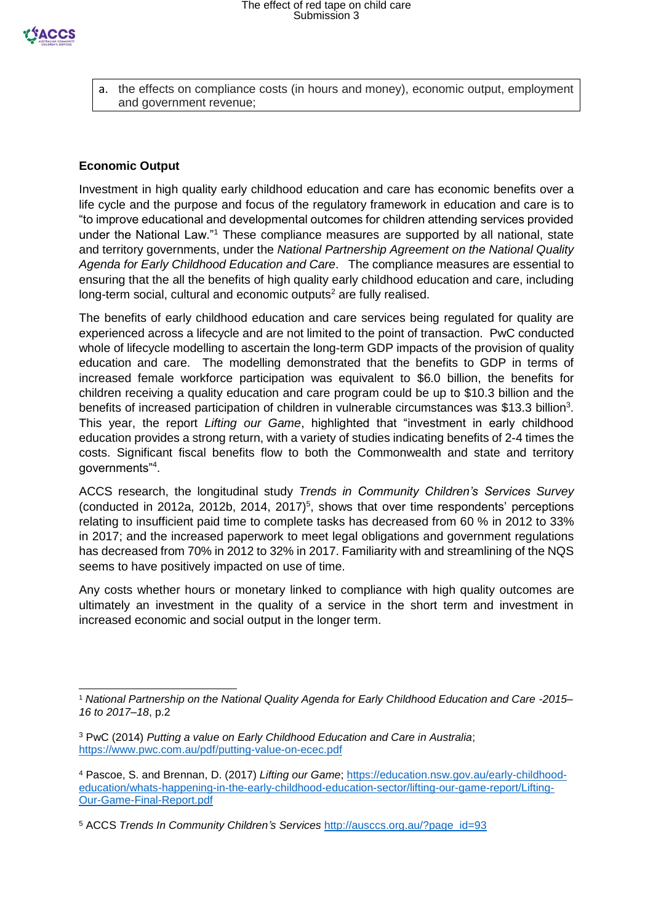a. the effects on compliance costs (in hours and money), economic output, employment and government revenue;

### **Economic Output**

-

Investment in high quality early childhood education and care has economic benefits over a life cycle and the purpose and focus of the regulatory framework in education and care is to "to improve educational and developmental outcomes for children attending services provided under the National Law."<sup>1</sup> These compliance measures are supported by all national, state and territory governments, under the *National Partnership Agreement on the National Quality Agenda for Early Childhood Education and Care*. The compliance measures are essential to ensuring that the all the benefits of high quality early childhood education and care, including long-term social, cultural and economic outputs<sup>2</sup> are fully realised.

The benefits of early childhood education and care services being regulated for quality are experienced across a lifecycle and are not limited to the point of transaction. PwC conducted whole of lifecycle modelling to ascertain the long-term GDP impacts of the provision of quality education and care. The modelling demonstrated that the benefits to GDP in terms of increased female workforce participation was equivalent to \$6.0 billion, the benefits for children receiving a quality education and care program could be up to \$10.3 billion and the benefits of increased participation of children in vulnerable circumstances was \$13.3 billion<sup>3</sup>. This year, the report *Lifting our Game*, highlighted that "investment in early childhood education provides a strong return, with a variety of studies indicating benefits of 2-4 times the costs. Significant fiscal benefits flow to both the Commonwealth and state and territory governments"<sup>4</sup> .

ACCS research, the longitudinal study *Trends in Community Children's Services Survey* (conducted in 2012a, 2012b, 2014, 2017)<sup>5</sup>, shows that over time respondents' perceptions relating to insufficient paid time to complete tasks has decreased from 60 % in 2012 to 33% in 2017; and the increased paperwork to meet legal obligations and government regulations has decreased from 70% in 2012 to 32% in 2017. Familiarity with and streamlining of the NQS seems to have positively impacted on use of time.

Any costs whether hours or monetary linked to compliance with high quality outcomes are ultimately an investment in the quality of a service in the short term and investment in increased economic and social output in the longer term.

<sup>1</sup> *National Partnership on the National Quality Agenda for Early Childhood Education and Care -2015– 16 to 2017–18*, p.2

<sup>3</sup> PwC (2014) *Putting a value on Early Childhood Education and Care in Australia*; <https://www.pwc.com.au/pdf/putting-value-on-ecec.pdf>

<sup>4</sup> Pascoe, S. and Brennan, D. (2017) *Lifting our Game*; [https://education.nsw.gov.au/early-childhood](https://education.nsw.gov.au/early-childhood-education/whats-happening-in-the-early-childhood-education-sector/lifting-our-game-report/Lifting-Our-Game-Final-Report.pdf)[education/whats-happening-in-the-early-childhood-education-sector/lifting-our-game-report/Lifting-](https://education.nsw.gov.au/early-childhood-education/whats-happening-in-the-early-childhood-education-sector/lifting-our-game-report/Lifting-Our-Game-Final-Report.pdf)[Our-Game-Final-Report.pdf](https://education.nsw.gov.au/early-childhood-education/whats-happening-in-the-early-childhood-education-sector/lifting-our-game-report/Lifting-Our-Game-Final-Report.pdf)

<sup>5</sup> ACCS *Trends In Community Children's Services* [http://ausccs.org.au/?page\\_id=93](http://ausccs.org.au/?page_id=93)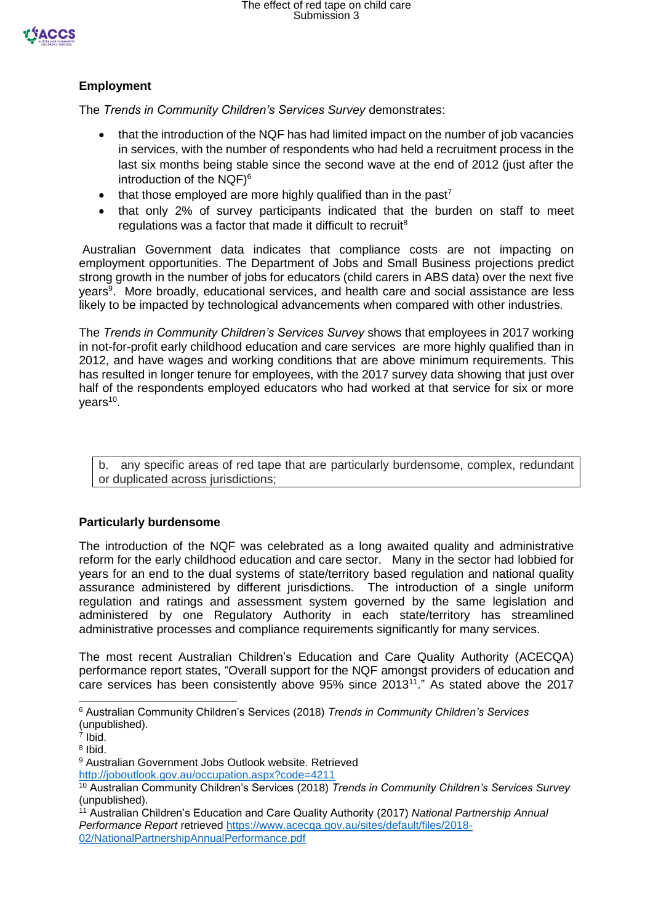

## **Employment**

The *Trends in Community Children's Services Survey* demonstrates:

- that the introduction of the NQF has had limited impact on the number of job vacancies in services, with the number of respondents who had held a recruitment process in the last six months being stable since the second wave at the end of 2012 (just after the introduction of the NQF) 6
- that those employed are more highly qualified than in the past<sup>7</sup>
- that only 2% of survey participants indicated that the burden on staff to meet regulations was a factor that made it difficult to recruit<sup>8</sup>

Australian Government data indicates that compliance costs are not impacting on employment opportunities. The Department of Jobs and Small Business projections predict strong growth in the number of jobs for educators (child carers in ABS data) over the next five years<sup>9</sup>. More broadly, educational services, and health care and social assistance are less likely to be impacted by technological advancements when compared with other industries.

The *Trends in Community Children's Services Survey* shows that employees in 2017 working in not-for-profit early childhood education and care services are more highly qualified than in 2012, and have wages and working conditions that are above minimum requirements. This has resulted in longer tenure for employees, with the 2017 survey data showing that just over half of the respondents employed educators who had worked at that service for six or more years<sup>10</sup>.

b. any specific areas of red tape that are particularly burdensome, complex, redundant or duplicated across jurisdictions;

#### **Particularly burdensome**

The introduction of the NQF was celebrated as a long awaited quality and administrative reform for the early childhood education and care sector. Many in the sector had lobbied for years for an end to the dual systems of state/territory based regulation and national quality assurance administered by different jurisdictions. The introduction of a single uniform regulation and ratings and assessment system governed by the same legislation and administered by one Regulatory Authority in each state/territory has streamlined administrative processes and compliance requirements significantly for many services.

The most recent Australian Children's Education and Care Quality Authority (ACECQA) performance report states, "Overall support for the NQF amongst providers of education and care services has been consistently above 95% since 2013<sup>11</sup>." As stated above the 2017

-

<sup>6</sup> Australian Community Children's Services (2018) *Trends in Community Children's Services* (unpublished).

<sup>7</sup> Ibid.

<sup>8</sup> Ibid.

<sup>9</sup> Australian Government Jobs Outlook website. Retrieved <http://joboutlook.gov.au/occupation.aspx?code=4211>

<sup>10</sup> Australian Community Children's Services (2018) *Trends in Community Children's Services Survey* (unpublished).

<sup>11</sup> Australian Children's Education and Care Quality Authority (2017) *National Partnership Annual Performance Report* retrieved [https://www.acecqa.gov.au/sites/default/files/2018-](https://www.acecqa.gov.au/sites/default/files/2018-02/NationalPartnershipAnnualPerformance.pdf) [02/NationalPartnershipAnnualPerformance.pdf](https://www.acecqa.gov.au/sites/default/files/2018-02/NationalPartnershipAnnualPerformance.pdf)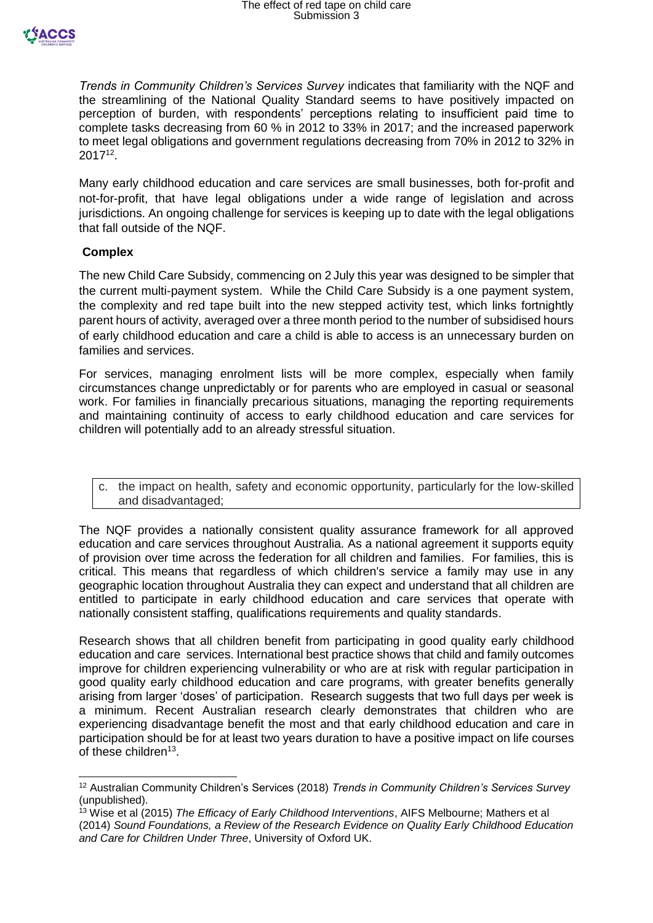

*Trends in Community Children's Services Survey* indicates that familiarity with the NQF and the streamlining of the National Quality Standard seems to have positively impacted on perception of burden, with respondents' perceptions relating to insufficient paid time to complete tasks decreasing from 60 % in 2012 to 33% in 2017; and the increased paperwork to meet legal obligations and government regulations decreasing from 70% in 2012 to 32% in 2017<sup>12</sup> .

Many early childhood education and care services are small businesses, both for-profit and not-for-profit, that have legal obligations under a wide range of legislation and across jurisdictions. An ongoing challenge for services is keeping up to date with the legal obligations that fall outside of the NQF.

#### **Complex**

 $\overline{a}$ 

The new Child Care Subsidy, commencing on 2 July this year was designed to be simpler that the current multi-payment system. While the Child Care Subsidy is a one payment system, the complexity and red tape built into the new stepped activity test, which links fortnightly parent hours of activity, averaged over a three month period to the number of subsidised hours of early childhood education and care a child is able to access is an unnecessary burden on families and services.

For services, managing enrolment lists will be more complex, especially when family circumstances change unpredictably or for parents who are employed in casual or seasonal work. For families in financially precarious situations, managing the reporting requirements and maintaining continuity of access to early childhood education and care services for children will potentially add to an already stressful situation.

c. the impact on health, safety and economic opportunity, particularly for the low-skilled and disadvantaged;

The NQF provides a nationally consistent quality assurance framework for all approved education and care services throughout Australia. As a national agreement it supports equity of provision over time across the federation for all children and families. For families, this is critical. This means that regardless of which children's service a family may use in any geographic location throughout Australia they can expect and understand that all children are entitled to participate in early childhood education and care services that operate with nationally consistent staffing, qualifications requirements and quality standards.

Research shows that all children benefit from participating in good quality early childhood education and care services. International best practice shows that child and family outcomes improve for children experiencing vulnerability or who are at risk with regular participation in good quality early childhood education and care programs, with greater benefits generally arising from larger 'doses' of participation. Research suggests that two full days per week is a minimum. Recent Australian research clearly demonstrates that children who are experiencing disadvantage benefit the most and that early childhood education and care in participation should be for at least two years duration to have a positive impact on life courses of these children<sup>13</sup>.

<sup>12</sup> Australian Community Children's Services (2018) *Trends in Community Children's Services Survey* (unpublished).

<sup>13</sup> Wise et al (2015) *The Efficacy of Early Childhood Interventions*, AIFS Melbourne; Mathers et al (2014) *Sound Foundations, a Review of the Research Evidence on Quality Early Childhood Education and Care for Children Under Three*, University of Oxford UK.